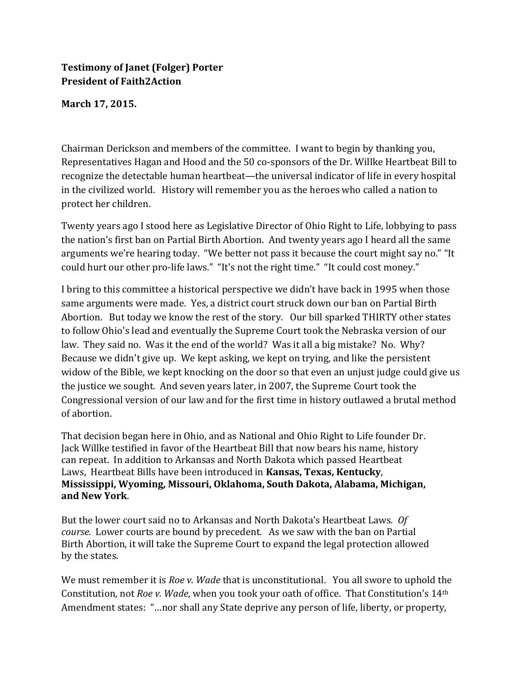## **Testimony of Janet (Folger) Porter President of Faith2Action**

## **March 17, 2015.**

Chairman Derickson and members of the committee. I want to begin by thanking you, Representatives Hagan and Hood and the 50 co-sponsors of the Dr. Willke Heartbeat Bill to recognize the detectable human heartbeat—the universal indicator of life in every hospital in the civilized world. History will remember you as the heroes who called a nation to protect her children.

Twenty years ago I stood here as Legislative Director of Ohio Right to Life, lobbying to pass the nation's first ban on Partial Birth Abortion. And twenty years ago I heard all the same arguments we're hearing today. "We better not pass it because the court might say no." "It could hurt our other pro-life laws." "It's not the right time." "It could cost money."

I bring to this committee a historical perspective we didn't have back in 1995 when those same arguments were made. Yes, a district court struck down our ban on Partial Birth Abortion. But today we know the rest of the story. Our bill sparked THIRTY other states to follow Ohio's lead and eventually the Supreme Court took the Nebraska version of our law. They said no. Was it the end of the world? Was it all a big mistake? No. Why? Because we didn't give up. We kept asking, we kept on trying, and like the persistent widow of the Bible, we kept knocking on the door so that even an unjust judge could give us the justice we sought. And seven years later, in 2007, the Supreme Court took the Congressional version of our law and for the first time in history outlawed a brutal method of abortion.

That decision began here in Ohio, and as National and Ohio Right to Life founder Dr. Jack Willke testified in favor of the Heartbeat Bill that now bears his name, history can repeat. In addition to Arkansas and North Dakota which passed Heartbeat Laws, Heartbeat Bills have been introduced in **Kansas, Texas, Kentucky**, **Mississippi, Wyoming, Missouri, Oklahoma, South Dakota, Alabama, Michigan, and New York**.

But the lower court said no to Arkansas and North Dakota's Heartbeat Laws. *Of course.* Lower courts are bound by precedent. As we saw with the ban on Partial Birth Abortion, it will take the Supreme Court to expand the legal protection allowed by the states.

We must remember it is *Roe v. Wade* that is unconstitutional. You all swore to uphold the Constitution, not *Roe v. Wade*, when you took your oath of office. That Constitution's 14th Amendment states: "…nor shall any State deprive any person of life, liberty, or property,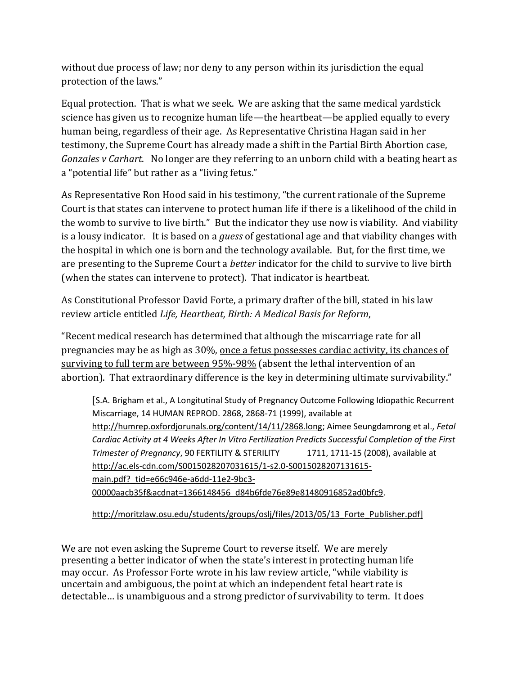without due process of law; nor deny to any person within its jurisdiction the equal protection of the laws."

Equal protection. That is what we seek. We are asking that the same medical yardstick science has given us to recognize human life—the heartbeat—be applied equally to every human being, regardless of their age. As Representative Christina Hagan said in her testimony, the Supreme Court has already made a shift in the Partial Birth Abortion case, *Gonzales v Carhart*. No longer are they referring to an unborn child with a beating heart as a "potential life" but rather as a "living fetus."

As Representative Ron Hood said in his testimony, "the current rationale of the Supreme Court is that states can intervene to protect human life if there is a likelihood of the child in the womb to survive to live birth." But the indicator they use now is viability. And viability is a lousy indicator. It is based on a *guess* of gestational age and that viability changes with the hospital in which one is born and the technology available. But, for the first time, we are presenting to the Supreme Court a *better* indicator for the child to survive to live birth (when the states can intervene to protect). That indicator is heartbeat.

As Constitutional Professor David Forte, a primary drafter of the bill, stated in his law review article entitled *Life, Heartbeat, Birth: A Medical Basis for Reform*,

"Recent medical research has determined that although the miscarriage rate for all pregnancies may be as high as 30%, once a fetus possesses cardiac activity, its chances of surviving to full term are between 95%-98% (absent the lethal intervention of an abortion). That extraordinary difference is the key in determining ultimate survivability."

[S.A. Brigham et al., A Longitutinal Study of Pregnancy Outcome Following Idiopathic Recurrent Miscarriage, 14 HUMAN REPROD. 2868, 2868-71 (1999), available at [http://humrep.oxfordjorunals.org/content/14/11/2868.long;](http://humrep.oxfordjorunals.org/content/14/11/2868.long) Aimee Seungdamrong et al., *Fetal Cardiac Activity at 4 Weeks After In Vitro Fertilization Predicts Successful Completion of the First Trimester of Pregnancy*, 90 FERTILITY & STERILITY 1711, 1711-15 (2008), available at [http://ac.els-cdn.com/S0015028207031615/1-s2.0-S0015028207131615](http://ac.els-cdn.com/S0015028207031615/1-s2.0-S0015028207131615-main.pdf?_tid=e66c946e-a6dd-11e2-9bc3-00000aacb35f&acdnat=1366148456_d84b6fde76e89e81480916852ad0bfc9) main.pdf? tid=e66c946e-a6dd-11e2-9bc3-[00000aacb35f&acdnat=1366148456\\_d84b6fde76e89e81480916852ad0bfc9.](http://ac.els-cdn.com/S0015028207031615/1-s2.0-S0015028207131615-main.pdf?_tid=e66c946e-a6dd-11e2-9bc3-00000aacb35f&acdnat=1366148456_d84b6fde76e89e81480916852ad0bfc9)

http://moritzlaw.osu.edu/students/groups/oslj/files/2013/05/13 Forte\_Publisher.pdf]

We are not even asking the Supreme Court to reverse itself. We are merely presenting a better indicator of when the state's interest in protecting human life may occur. As Professor Forte wrote in his law review article, "while viability is uncertain and ambiguous, the point at which an independent fetal heart rate is detectable… is unambiguous and a strong predictor of survivability to term. It does